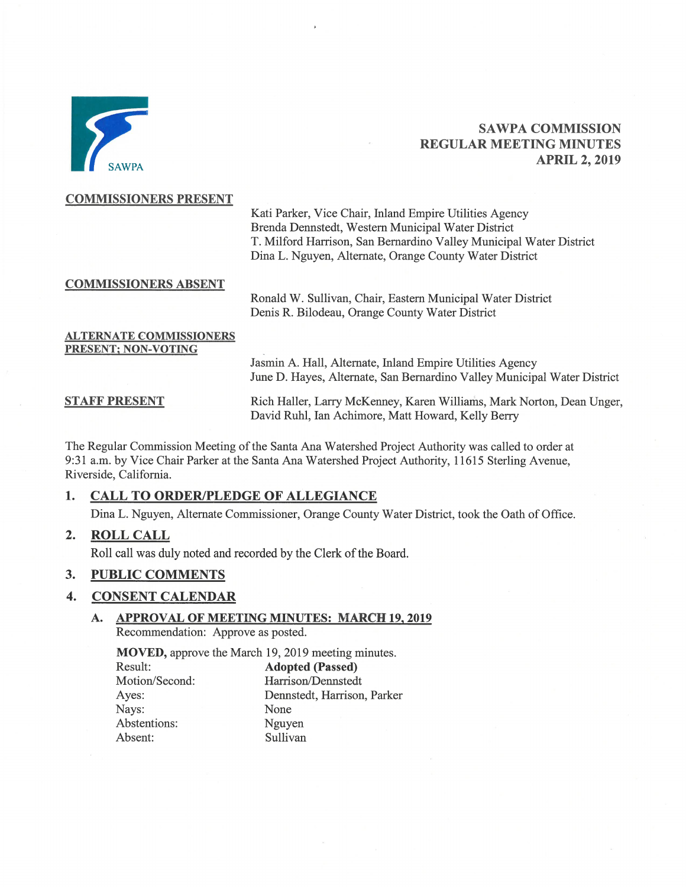

# **SAWPA COMMISSION REGULAR MEETING MINUTES APRIL 2, 2019**

## **COMMISSIONERS PRESENT**

Kati Parker, Vice Chair, Inland Empire Utilities Agency Brenda Dennstedt, Western Municipal Water District T. Milford Harrison, San Bernardino Valley Municipal Water District Dina L. Nguyen, Alternate, Orange County Water District

# **COMMISSIONERS ABSENT**

Ronald W. Sullivan, Chair, Eastern Municipal Water District Denis R. Bilodeau, Orange County Water District

## **ALTERNATE COMMISSIONERS** PRESENT; NON-VOTING

Jasmin A. Hall, Alternate, Inland Empire Utilities Agency June D. Hayes, Alternate, San Bernardino Valley Municipal Water District

**STAFF PRESENT** 

Rich Haller, Larry McKenney, Karen Williams, Mark Norton, Dean Unger, David Ruhl, Ian Achimore, Matt Howard, Kelly Berry

The Regular Commission Meeting of the Santa Ana Watershed Project Authority was called to order at 9:31 a.m. by Vice Chair Parker at the Santa Ana Watershed Project Authority, 11615 Sterling Avenue, Riverside, California.

## $1.$ **CALL TO ORDER/PLEDGE OF ALLEGIANCE**

Dina L. Nguyen, Alternate Commissioner, Orange County Water District, took the Oath of Office.

 $2.$ **ROLL CALL** 

Roll call was duly noted and recorded by the Clerk of the Board.

### $3.$ **PUBLIC COMMENTS**

Ayes:

Nays:

### $\overline{4}$ . **CONSENT CALENDAR**

## **APPROVAL OF MEETING MINUTES: MARCH 19, 2019 A.** Recommendation: Approve as posted.

**MOVED**, approve the March 19, 2019 meeting minutes.

**Adopted (Passed)** Result: Motion/Second: Harrison/Dennstedt Dennstedt, Harrison, Parker None Abstentions: Nguyen Sullivan Absent: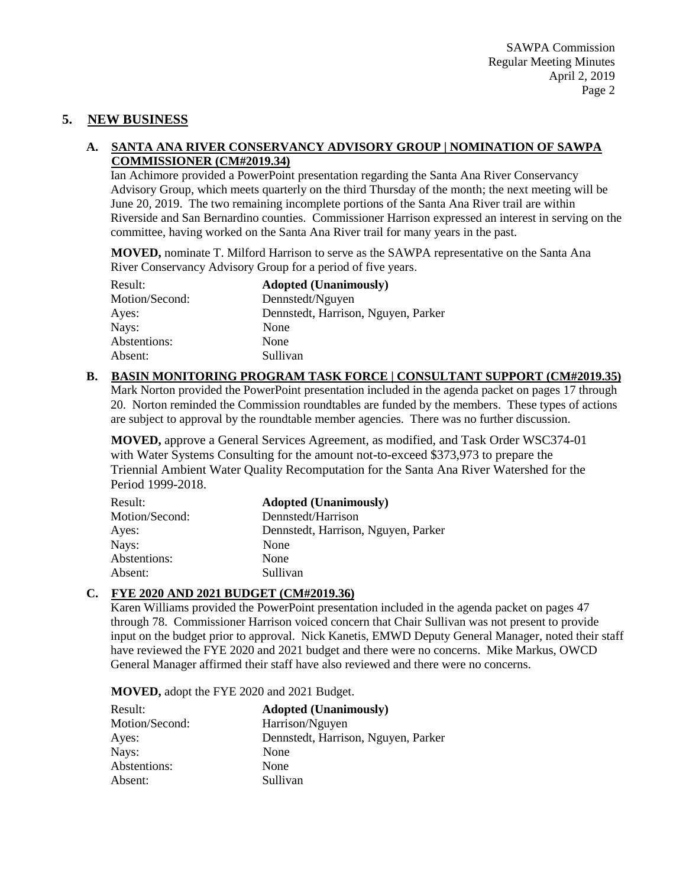# **5. NEW BUSINESS**

# **A. SANTA ANA RIVER CONSERVANCY ADVISORY GROUP | NOMINATION OF SAWPA COMMISSIONER (CM#2019.34)**

Ian Achimore provided a PowerPoint presentation regarding the Santa Ana River Conservancy Advisory Group, which meets quarterly on the third Thursday of the month; the next meeting will be June 20, 2019. The two remaining incomplete portions of the Santa Ana River trail are within Riverside and San Bernardino counties. Commissioner Harrison expressed an interest in serving on the committee, having worked on the Santa Ana River trail for many years in the past.

**MOVED,** nominate T. Milford Harrison to serve as the SAWPA representative on the Santa Ana River Conservancy Advisory Group for a period of five years.

| Result:        | <b>Adopted (Unanimously)</b>        |
|----------------|-------------------------------------|
| Motion/Second: | Dennstedt/Nguyen                    |
| Ayes:          | Dennstedt, Harrison, Nguyen, Parker |
| Nays:          | None                                |
| Abstentions:   | None                                |
| Absent:        | Sullivan                            |

# **B. BASIN MONITORING PROGRAM TASK FORCE | CONSULTANT SUPPORT (CM#2019.35)**

Mark Norton provided the PowerPoint presentation included in the agenda packet on pages 17 through 20. Norton reminded the Commission roundtables are funded by the members. These types of actions are subject to approval by the roundtable member agencies. There was no further discussion.

**MOVED,** approve a General Services Agreement, as modified, and Task Order WSC374-01 with Water Systems Consulting for the amount not-to-exceed \$373,973 to prepare the Triennial Ambient Water Quality Recomputation for the Santa Ana River Watershed for the Period 1999-2018.

| Result:        | <b>Adopted (Unanimously)</b>        |
|----------------|-------------------------------------|
| Motion/Second: | Dennstedt/Harrison                  |
| Ayes:          | Dennstedt, Harrison, Nguyen, Parker |
| Nays:          | None                                |
| Abstentions:   | None                                |
| Absent:        | Sullivan                            |

# **C. FYE 2020 AND 2021 BUDGET (CM#2019.36)**

Karen Williams provided the PowerPoint presentation included in the agenda packet on pages 47 through 78. Commissioner Harrison voiced concern that Chair Sullivan was not present to provide input on the budget prior to approval. Nick Kanetis, EMWD Deputy General Manager, noted their staff have reviewed the FYE 2020 and 2021 budget and there were no concerns. Mike Markus, OWCD General Manager affirmed their staff have also reviewed and there were no concerns.

**MOVED,** adopt the FYE 2020 and 2021 Budget.

| Result:        | <b>Adopted (Unanimously)</b>        |
|----------------|-------------------------------------|
| Motion/Second: | Harrison/Nguyen                     |
| Ayes:          | Dennstedt, Harrison, Nguyen, Parker |
| Nays:          | None                                |
| Abstentions:   | None                                |
| Absent:        | Sullivan                            |